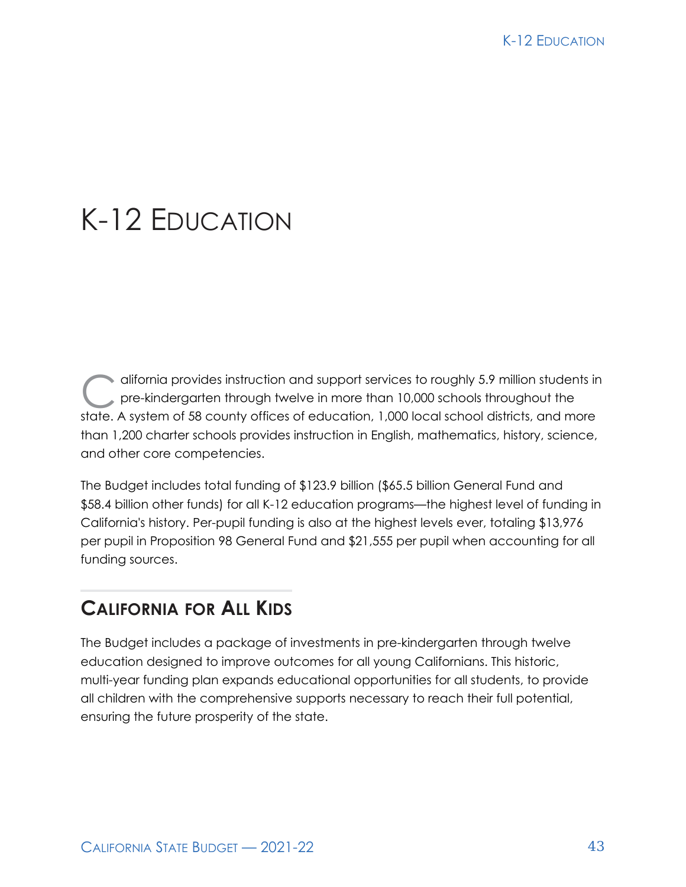# K-12 EDUCATION

difornia provides instruction and support services to roughly 5.9 million students in<br>pre-kindergarten through twelve in more than 10,000 schools throughout the<br>state. A system of 59 county offices of advertises, 1,000 loc pre-kindergarten through twelve in more than 10,000 schools throughout the state. A system of 58 county offices of education, 1,000 local school districts, and more than 1,200 charter schools provides instruction in English, mathematics, history, science, and other core competencies.

The Budget includes total funding of \$123.9 billion (\$65.5 billion General Fund and \$58.4 billion other funds) for all K-12 education programs—the highest level of funding in California's history. Per-pupil funding is also at the highest levels ever, totaling \$13,976 per pupil in Proposition 98 General Fund and \$21,555 per pupil when accounting for all funding sources.

### **CALIFORNIA FOR ALL KIDS**

The Budget includes a package of investments in pre-kindergarten through twelve education designed to improve outcomes for all young Californians. This historic, multi-year funding plan expands educational opportunities for all students, to provide all children with the comprehensive supports necessary to reach their full potential, ensuring the future prosperity of the state.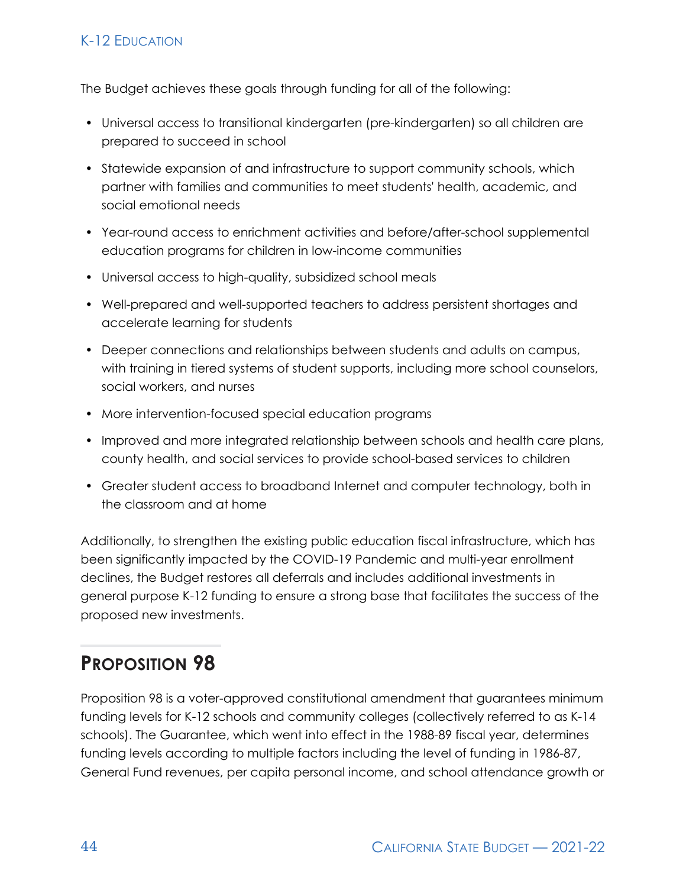#### K-12 EDUCATION

The Budget achieves these goals through funding for all of the following:

- Universal access to transitional kindergarten (pre-kindergarten) so all children are prepared to succeed in school
- Statewide expansion of and infrastructure to support community schools, which partner with families and communities to meet students' health, academic, and social emotional needs
- Year-round access to enrichment activities and before/after-school supplemental education programs for children in low-income communities
- Universal access to high-quality, subsidized school meals
- Well-prepared and well-supported teachers to address persistent shortages and accelerate learning for students
- Deeper connections and relationships between students and adults on campus, with training in tiered systems of student supports, including more school counselors, social workers, and nurses
- More intervention-focused special education programs
- Improved and more integrated relationship between schools and health care plans, county health, and social services to provide school-based services to children
- Greater student access to broadband Internet and computer technology, both in the classroom and at home

Additionally, to strengthen the existing public education fiscal infrastructure, which has been significantly impacted by the COVID-19 Pandemic and multi-year enrollment declines, the Budget restores all deferrals and includes additional investments in general purpose K-12 funding to ensure a strong base that facilitates the success of the proposed new investments.

# **PROPOSITION 98**

Proposition 98 is a voter-approved constitutional amendment that guarantees minimum funding levels for K-12 schools and community colleges (collectively referred to as K-14 schools). The Guarantee, which went into effect in the 1988-89 fiscal year, determines funding levels according to multiple factors including the level of funding in 1986-87, General Fund revenues, per capita personal income, and school attendance growth or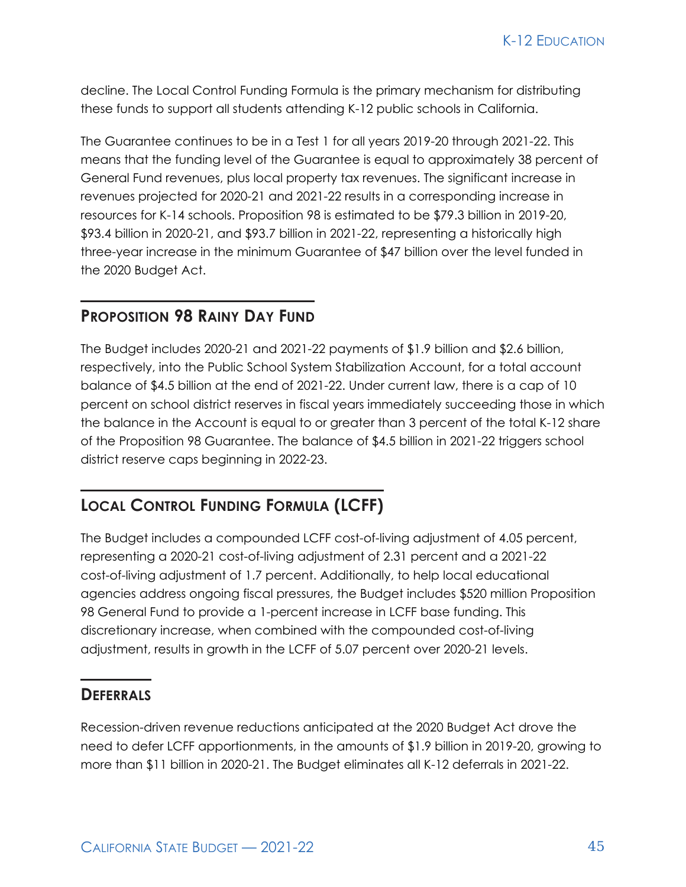decline. The Local Control Funding Formula is the primary mechanism for distributing these funds to support all students attending K-12 public schools in California.

The Guarantee continues to be in a Test 1 for all years 2019-20 through 2021-22. This means that the funding level of the Guarantee is equal to approximately 38 percent of General Fund revenues, plus local property tax revenues. The significant increase in revenues projected for 2020-21 and 2021-22 results in a corresponding increase in resources for K-14 schools. Proposition 98 is estimated to be \$79.3 billion in 2019-20, \$93.4 billion in 2020-21, and \$93.7 billion in 2021-22, representing a historically high three-year increase in the minimum Guarantee of \$47 billion over the level funded in the 2020 Budget Act.

#### **PROPOSITION 98 RAINY DAY FUND**

The Budget includes 2020-21 and 2021-22 payments of \$1.9 billion and \$2.6 billion, respectively, into the Public School System Stabilization Account, for a total account balance of \$4.5 billion at the end of 2021-22. Under current law, there is a cap of 10 percent on school district reserves in fiscal years immediately succeeding those in which the balance in the Account is equal to or greater than 3 percent of the total K-12 share of the Proposition 98 Guarantee. The balance of \$4.5 billion in 2021-22 triggers school district reserve caps beginning in 2022-23.

#### **LOCAL CONTROL FUNDING FORMULA (LCFF)**

The Budget includes a compounded LCFF cost-of-living adjustment of 4.05 percent, representing a 2020-21 cost-of-living adjustment of 2.31 percent and a 2021-22 cost-of-living adjustment of 1.7 percent. Additionally, to help local educational agencies address ongoing fiscal pressures, the Budget includes \$520 million Proposition 98 General Fund to provide a 1-percent increase in LCFF base funding. This discretionary increase, when combined with the compounded cost-of-living adjustment, results in growth in the LCFF of 5.07 percent over 2020-21 levels.

#### **DEFERRALS**

Recession-driven revenue reductions anticipated at the 2020 Budget Act drove the need to defer LCFF apportionments, in the amounts of \$1.9 billion in 2019-20, growing to more than \$11 billion in 2020-21. The Budget eliminates all K-12 deferrals in 2021-22.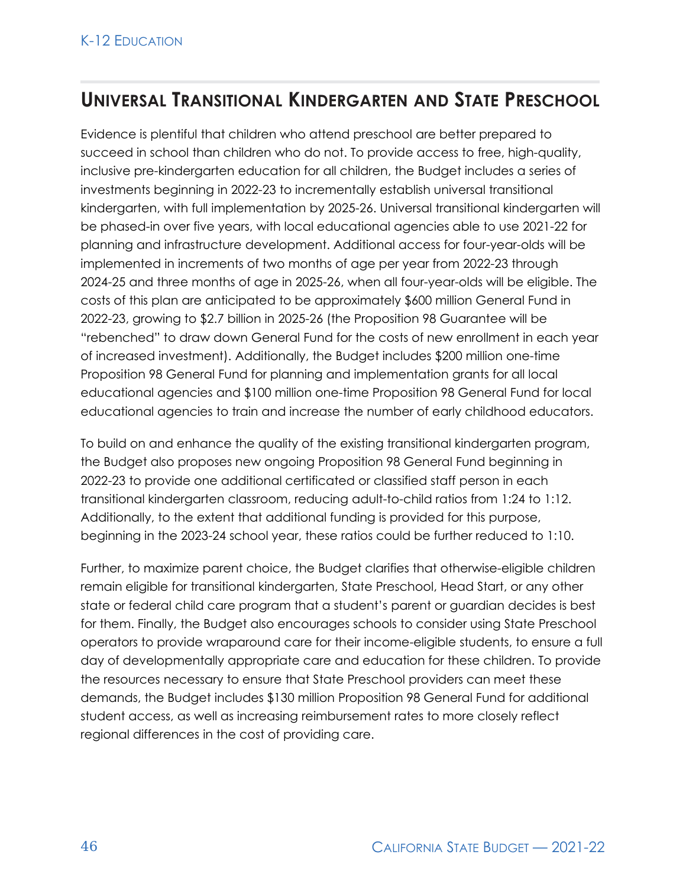### **UNIVERSAL TRANSITIONAL KINDERGARTEN AND STATE PRESCHOOL**

Evidence is plentiful that children who attend preschool are better prepared to succeed in school than children who do not. To provide access to free, high-quality, inclusive pre-kindergarten education for all children, the Budget includes a series of investments beginning in 2022-23 to incrementally establish universal transitional kindergarten, with full implementation by 2025-26. Universal transitional kindergarten will be phased-in over five years, with local educational agencies able to use 2021-22 for planning and infrastructure development. Additional access for four-year-olds will be implemented in increments of two months of age per year from 2022-23 through 2024-25 and three months of age in 2025-26, when all four-year-olds will be eligible. The costs of this plan are anticipated to be approximately \$600 million General Fund in 2022-23, growing to \$2.7 billion in 2025-26 (the Proposition 98 Guarantee will be "rebenched" to draw down General Fund for the costs of new enrollment in each year of increased investment). Additionally, the Budget includes \$200 million one-time Proposition 98 General Fund for planning and implementation grants for all local educational agencies and \$100 million one-time Proposition 98 General Fund for local educational agencies to train and increase the number of early childhood educators.

To build on and enhance the quality of the existing transitional kindergarten program, the Budget also proposes new ongoing Proposition 98 General Fund beginning in 2022-23 to provide one additional certificated or classified staff person in each transitional kindergarten classroom, reducing adult-to-child ratios from 1:24 to 1:12. Additionally, to the extent that additional funding is provided for this purpose, beginning in the 2023-24 school year, these ratios could be further reduced to 1:10.

Further, to maximize parent choice, the Budget clarifies that otherwise-eligible children remain eligible for transitional kindergarten, State Preschool, Head Start, or any other state or federal child care program that a student's parent or guardian decides is best for them. Finally, the Budget also encourages schools to consider using State Preschool operators to provide wraparound care for their income-eligible students, to ensure a full day of developmentally appropriate care and education for these children. To provide the resources necessary to ensure that State Preschool providers can meet these demands, the Budget includes \$130 million Proposition 98 General Fund for additional student access, as well as increasing reimbursement rates to more closely reflect regional differences in the cost of providing care.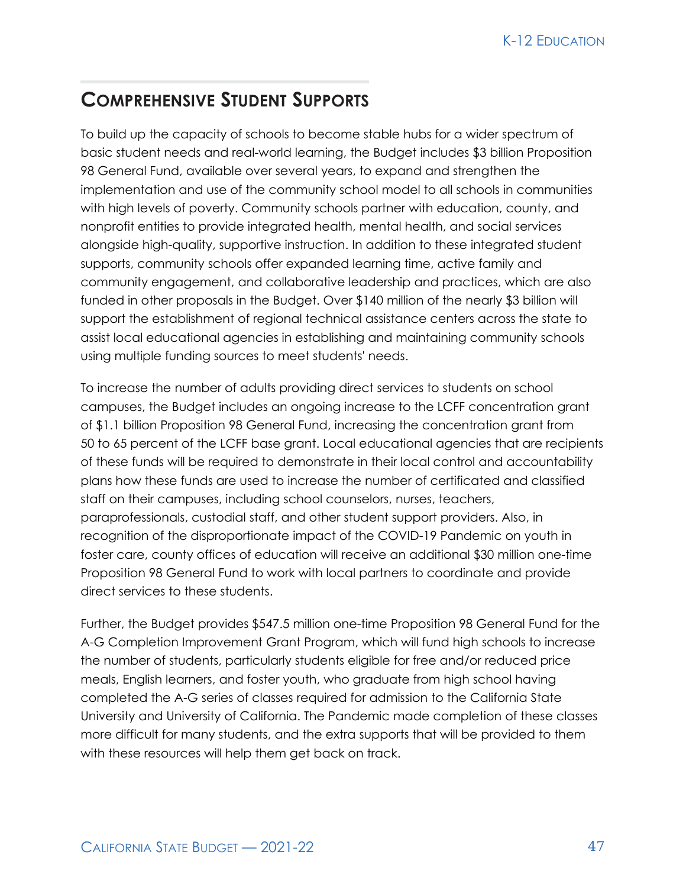### **COMPREHENSIVE STUDENT SUPPORTS**

To build up the capacity of schools to become stable hubs for a wider spectrum of basic student needs and real-world learning, the Budget includes \$3 billion Proposition 98 General Fund, available over several years, to expand and strengthen the implementation and use of the community school model to all schools in communities with high levels of poverty. Community schools partner with education, county, and nonprofit entities to provide integrated health, mental health, and social services alongside high-quality, supportive instruction. In addition to these integrated student supports, community schools offer expanded learning time, active family and community engagement, and collaborative leadership and practices, which are also funded in other proposals in the Budget. Over \$140 million of the nearly \$3 billion will support the establishment of regional technical assistance centers across the state to assist local educational agencies in establishing and maintaining community schools using multiple funding sources to meet students' needs.

To increase the number of adults providing direct services to students on school campuses, the Budget includes an ongoing increase to the LCFF concentration grant of \$1.1 billion Proposition 98 General Fund, increasing the concentration grant from 50 to 65 percent of the LCFF base grant. Local educational agencies that are recipients of these funds will be required to demonstrate in their local control and accountability plans how these funds are used to increase the number of certificated and classified staff on their campuses, including school counselors, nurses, teachers, paraprofessionals, custodial staff, and other student support providers. Also, in recognition of the disproportionate impact of the COVID-19 Pandemic on youth in foster care, county offices of education will receive an additional \$30 million one-time Proposition 98 General Fund to work with local partners to coordinate and provide direct services to these students.

Further, the Budget provides \$547.5 million one-time Proposition 98 General Fund for the A-G Completion Improvement Grant Program, which will fund high schools to increase the number of students, particularly students eligible for free and/or reduced price meals, English learners, and foster youth, who graduate from high school having completed the A-G series of classes required for admission to the California State University and University of California. The Pandemic made completion of these classes more difficult for many students, and the extra supports that will be provided to them with these resources will help them get back on track.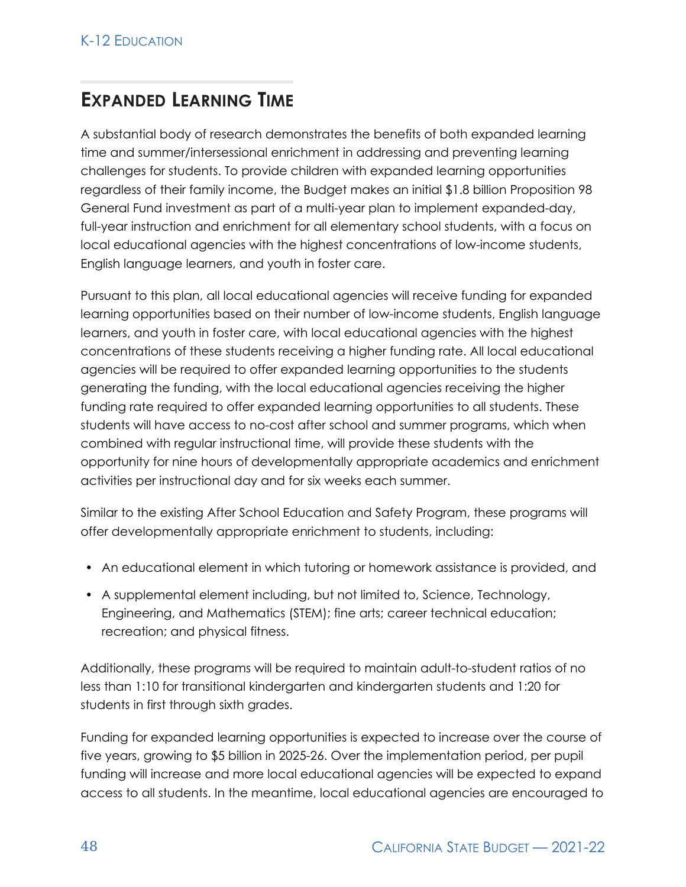# **EXPANDED LEARNING TIME**

A substantial body of research demonstrates the benefits of both expanded learning time and summer/intersessional enrichment in addressing and preventing learning challenges for students. To provide children with expanded learning opportunities regardless of their family income, the Budget makes an initial \$1.8 billion Proposition 98 General Fund investment as part of a multi-year plan to implement expanded-day, full-year instruction and enrichment for all elementary school students, with a focus on local educational agencies with the highest concentrations of low-income students, English language learners, and youth in foster care.

Pursuant to this plan, all local educational agencies will receive funding for expanded learning opportunities based on their number of low-income students, English language learners, and youth in foster care, with local educational agencies with the highest concentrations of these students receiving a higher funding rate. All local educational agencies will be required to offer expanded learning opportunities to the students generating the funding, with the local educational agencies receiving the higher funding rate required to offer expanded learning opportunities to all students. These students will have access to no-cost after school and summer programs, which when combined with regular instructional time, will provide these students with the opportunity for nine hours of developmentally appropriate academics and enrichment activities per instructional day and for six weeks each summer.

Similar to the existing After School Education and Safety Program, these programs will offer developmentally appropriate enrichment to students, including:

- An educational element in which tutoring or homework assistance is provided, and
- A supplemental element including, but not limited to, Science, Technology, Engineering, and Mathematics (STEM); fine arts; career technical education; recreation; and physical fitness.

Additionally, these programs will be required to maintain adult-to-student ratios of no less than 1:10 for transitional kindergarten and kindergarten students and 1:20 for students in first through sixth grades.

Funding for expanded learning opportunities is expected to increase over the course of five years, growing to \$5 billion in 2025-26. Over the implementation period, per pupil funding will increase and more local educational agencies will be expected to expand access to all students. In the meantime, local educational agencies are encouraged to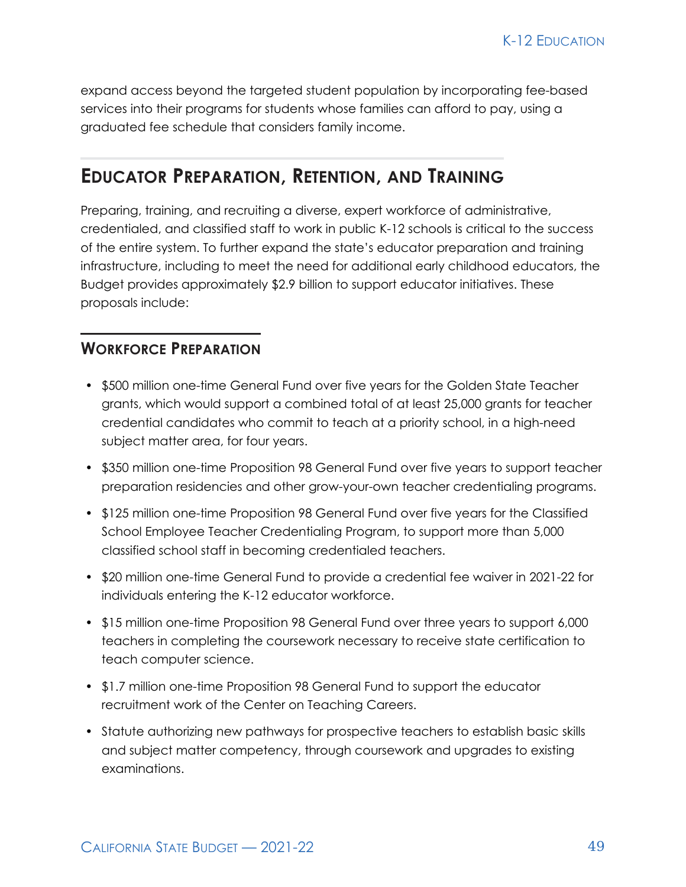expand access beyond the targeted student population by incorporating fee-based services into their programs for students whose families can afford to pay, using a graduated fee schedule that considers family income.

### **EDUCATOR PREPARATION, RETENTION, AND TRAINING**

Preparing, training, and recruiting a diverse, expert workforce of administrative, credentialed, and classified staff to work in public K-12 schools is critical to the success of the entire system. To further expand the state's educator preparation and training infrastructure, including to meet the need for additional early childhood educators, the Budget provides approximately \$2.9 billion to support educator initiatives. These proposals include:

#### **WORKFORCE PREPARATION**

- \$500 million one-time General Fund over five years for the Golden State Teacher grants, which would support a combined total of at least 25,000 grants for teacher credential candidates who commit to teach at a priority school, in a high-need subject matter area, for four years.
- \$350 million one-time Proposition 98 General Fund over five years to support teacher preparation residencies and other grow-your-own teacher credentialing programs.
- \$125 million one-time Proposition 98 General Fund over five years for the Classified School Employee Teacher Credentialing Program, to support more than 5,000 classified school staff in becoming credentialed teachers.
- \$20 million one-time General Fund to provide a credential fee waiver in 2021-22 for individuals entering the K-12 educator workforce.
- \$15 million one-time Proposition 98 General Fund over three years to support 6,000 teachers in completing the coursework necessary to receive state certification to teach computer science.
- \$1.7 million one-time Proposition 98 General Fund to support the educator recruitment work of the Center on Teaching Careers.
- Statute authorizing new pathways for prospective teachers to establish basic skills and subject matter competency, through coursework and upgrades to existing examinations.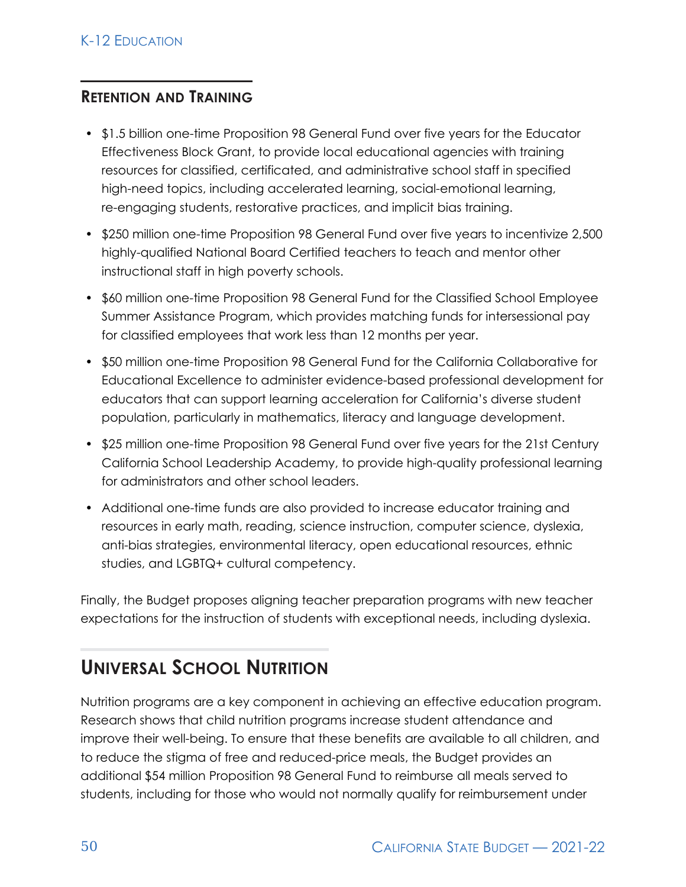### **RETENTION AND TRAINING**

- \$1.5 billion one-time Proposition 98 General Fund over five years for the Educator Effectiveness Block Grant, to provide local educational agencies with training resources for classified, certificated, and administrative school staff in specified high-need topics, including accelerated learning, social-emotional learning, re-engaging students, restorative practices, and implicit bias training.
- \$250 million one-time Proposition 98 General Fund over five years to incentivize 2,500 highly-qualified National Board Certified teachers to teach and mentor other instructional staff in high poverty schools.
- \$60 million one-time Proposition 98 General Fund for the Classified School Employee Summer Assistance Program, which provides matching funds for intersessional pay for classified employees that work less than 12 months per year.
- \$50 million one-time Proposition 98 General Fund for the California Collaborative for Educational Excellence to administer evidence-based professional development for educators that can support learning acceleration for California's diverse student population, particularly in mathematics, literacy and language development.
- \$25 million one-time Proposition 98 General Fund over five years for the 21st Century California School Leadership Academy, to provide high-quality professional learning for administrators and other school leaders.
- Additional one-time funds are also provided to increase educator training and resources in early math, reading, science instruction, computer science, dyslexia, anti-bias strategies, environmental literacy, open educational resources, ethnic studies, and LGBTQ+ cultural competency.

Finally, the Budget proposes aligning teacher preparation programs with new teacher expectations for the instruction of students with exceptional needs, including dyslexia.

# **UNIVERSAL SCHOOL NUTRITION**

Nutrition programs are a key component in achieving an effective education program. Research shows that child nutrition programs increase student attendance and improve their well-being. To ensure that these benefits are available to all children, and to reduce the stigma of free and reduced-price meals, the Budget provides an additional \$54 million Proposition 98 General Fund to reimburse all meals served to students, including for those who would not normally qualify for reimbursement under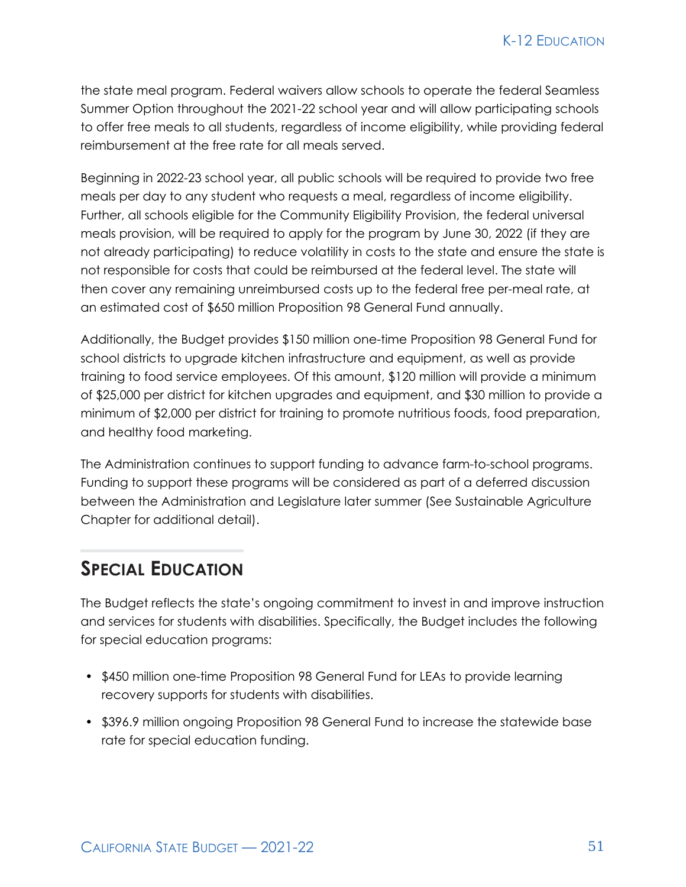the state meal program. Federal waivers allow schools to operate the federal Seamless Summer Option throughout the 2021-22 school year and will allow participating schools to offer free meals to all students, regardless of income eligibility, while providing federal reimbursement at the free rate for all meals served.

Beginning in 2022-23 school year, all public schools will be required to provide two free meals per day to any student who requests a meal, regardless of income eligibility. Further, all schools eligible for the Community Eligibility Provision, the federal universal meals provision, will be required to apply for the program by June 30, 2022 (if they are not already participating) to reduce volatility in costs to the state and ensure the state is not responsible for costs that could be reimbursed at the federal level. The state will then cover any remaining unreimbursed costs up to the federal free per-meal rate, at an estimated cost of \$650 million Proposition 98 General Fund annually.

Additionally, the Budget provides \$150 million one-time Proposition 98 General Fund for school districts to upgrade kitchen infrastructure and equipment, as well as provide training to food service employees. Of this amount, \$120 million will provide a minimum of \$25,000 per district for kitchen upgrades and equipment, and \$30 million to provide a minimum of \$2,000 per district for training to promote nutritious foods, food preparation, and healthy food marketing.

The Administration continues to support funding to advance farm-to-school programs. Funding to support these programs will be considered as part of a deferred discussion between the Administration and Legislature later summer (See Sustainable Agriculture Chapter for additional detail).

# **SPECIAL EDUCATION**

The Budget reflects the state's ongoing commitment to invest in and improve instruction and services for students with disabilities. Specifically, the Budget includes the following for special education programs:

- \$450 million one-time Proposition 98 General Fund for LEAs to provide learning recovery supports for students with disabilities.
- \$396.9 million ongoing Proposition 98 General Fund to increase the statewide base rate for special education funding.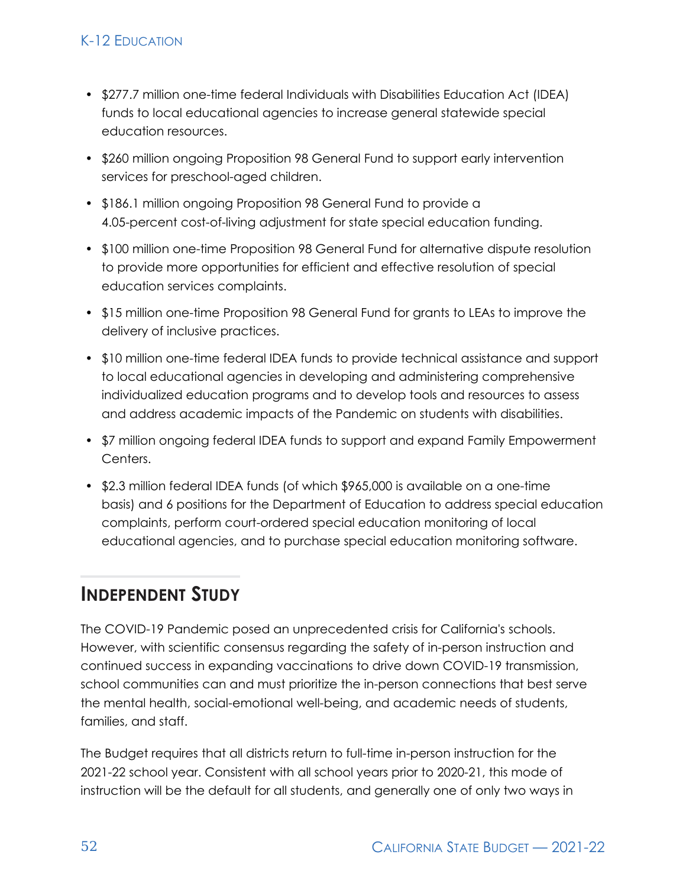#### K-12 EDUCATION

- \$277.7 million one-time federal Individuals with Disabilities Education Act (IDEA) funds to local educational agencies to increase general statewide special education resources.
- \$260 million ongoing Proposition 98 General Fund to support early intervention services for preschool-aged children.
- \$186.1 million ongoing Proposition 98 General Fund to provide a 4.05-percent cost-of-living adjustment for state special education funding.
- \$100 million one-time Proposition 98 General Fund for alternative dispute resolution to provide more opportunities for efficient and effective resolution of special education services complaints.
- \$15 million one-time Proposition 98 General Fund for grants to LEAs to improve the delivery of inclusive practices.
- \$10 million one-time federal IDEA funds to provide technical assistance and support to local educational agencies in developing and administering comprehensive individualized education programs and to develop tools and resources to assess and address academic impacts of the Pandemic on students with disabilities.
- \$7 million ongoing federal IDEA funds to support and expand Family Empowerment Centers.
- \$2.3 million federal IDEA funds (of which \$965,000 is available on a one-time basis) and 6 positions for the Department of Education to address special education complaints, perform court-ordered special education monitoring of local educational agencies, and to purchase special education monitoring software.

### **INDEPENDENT STUDY**

The COVID-19 Pandemic posed an unprecedented crisis for California's schools. However, with scientific consensus regarding the safety of in-person instruction and continued success in expanding vaccinations to drive down COVID-19 transmission, school communities can and must prioritize the in-person connections that best serve the mental health, social-emotional well-being, and academic needs of students, families, and staff.

The Budget requires that all districts return to full-time in-person instruction for the 2021-22 school year. Consistent with all school years prior to 2020-21, this mode of instruction will be the default for all students, and generally one of only two ways in